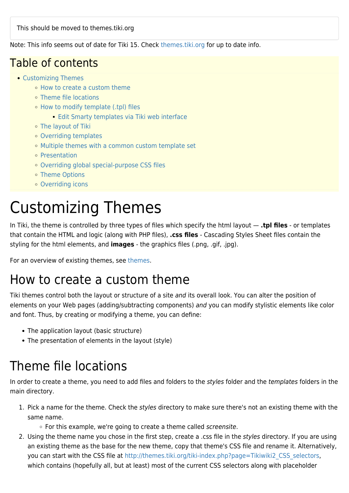This should be moved to themes.tiki.org

Note: This info seems out of date for Tiki 15. Check [themes.tiki.org](https://themes.tiki.org/How+To+Add+a+New+Theme) for up to date info.

#### Table of contents

- [Customizing Themes](#page--1-0)
	- [How to create a custom theme](#page--1-0)
	- [Theme file locations](#page--1-0)
	- [How to modify template \(.tpl\) files](#How_to_modify_template_.tpl_files)
		- **[Edit Smarty templates via Tiki web interface](#page--1-0)**
	- [The layout of Tiki](#page--1-0)
	- [Overriding templates](#page--1-0)
	- [Multiple themes with a common custom template set](#page--1-0)
	- [Presentation](#page--1-0)
	- o [Overriding global special-purpose CSS files](#page--1-0)
	- [Theme Options](#page--1-0)
	- [Overriding icons](#page--1-0)

# Customizing Themes

In Tiki, the theme is controlled by three types of files which specify the html layout — **.tpl files** - or templates that contain the HTML and logic (along with PHP files), **.css files** - Cascading Styles Sheet files contain the styling for the html elements, and **images** - the graphics files (.png, .gif, .jpg).

For an overview of existing themes, see [themes](https://doc.tiki.org/Themes).

#### How to create a custom theme

Tiki themes control both the layout or structure of a site and its overall look. You can alter the position of elements on your Web pages (adding/subtracting components) and you can modify stylistic elements like color and font. Thus, by creating or modifying a theme, you can define:

- The application layout (basic structure)
- The presentation of elements in the layout (style)

#### Theme file locations

In order to create a theme, you need to add files and folders to the styles folder and the templates folders in the main directory.

- 1. Pick a name for the theme. Check the styles directory to make sure there's not an existing theme with the same name.
	- $\circ$  For this example, we're going to create a theme called *screensite*.
- 2. Using the theme name you chose in the first step, create a .css file in the styles directory. If you are using an existing theme as the base for the new theme, copy that theme's CSS file and rename it. Alternatively, you can start with the CSS file at [http://themes.tiki.org/tiki-index.php?page=Tikiwiki2\\_CSS\\_selectors,](http://themes.tiki.org/tiki-index.php?page=Tikiwiki2_CSS_selectors) which contains (hopefully all, but at least) most of the current CSS selectors along with placeholder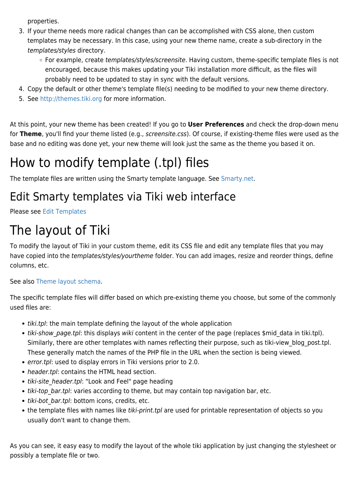properties.

- 3. If your theme needs more radical changes than can be accomplished with CSS alone, then custom templates may be necessary. In this case, using your new theme name, create a sub-directory in the templates/styles directory.
	- For example, create templates/styles/screensite. Having custom, theme-specific template files is not encouraged, because this makes updating your Tiki installation more difficult, as the files will probably need to be updated to stay in sync with the default versions.
- 4. Copy the default or other theme's template file(s) needing to be modified to your new theme directory.
- 5. See <http://themes.tiki.org>for more information.

At this point, your new theme has been created! If you go to **User Preferences** and check the drop-down menu for **Theme**, you'll find your theme listed (e.g., screensite.css). Of course, if existing-theme files were used as the base and no editing was done yet, your new theme will look just the same as the theme you based it on.

## How to modify template (.tpl) files

The template files are written using the Smarty template language. See [Smarty.net.](http://smarty.net/)

#### Edit Smarty templates via Tiki web interface

Please see [Edit Templates](https://doc.tiki.org/Edit-Templates)

## The layout of Tiki

To modify the layout of Tiki in your custom theme, edit its CSS file and edit any template files that you may have copied into the templates/styles/yourtheme folder. You can add images, resize and reorder things, define columns, etc.

See also [Theme layout schema.](https://doc.tiki.org/Theme-Layout-Schema)

The specific template files will differ based on which pre-existing theme you choose, but some of the commonly used files are:

- tiki.tpl: the main template defining the layout of the whole application
- tiki-show page.tpl: this displays wiki content in the center of the page (replaces \$mid data in tiki.tpl). Similarly, there are other templates with names reflecting their purpose, such as tiki-view blog post.tpl. These generally match the names of the PHP file in the URL when the section is being viewed.
- error.tpl: used to display errors in Tiki versions prior to 2.0.
- header.tpl: contains the HTML head section.
- tiki-site header.tpl: "Look and Feel" page heading
- tiki-top bar.tpl: varies according to theme, but may contain top navigation bar, etc.
- tiki-bot bar.tpl: bottom icons, credits, etc.
- the template files with names like tiki-print.tpl are used for printable representation of objects so you usually don't want to change them.

As you can see, it easy easy to modify the layout of the whole tiki application by just changing the stylesheet or possibly a template file or two.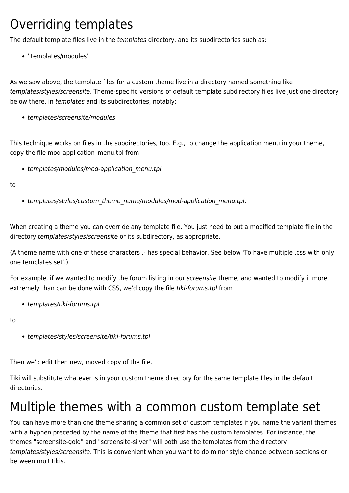#### Overriding templates

The default template files live in the templates directory, and its subdirectories such as:

''templates/modules'

As we saw above, the template files for a custom theme live in a directory named something like templates/styles/screensite. Theme-specific versions of default template subdirectory files live just one directory below there, in templates and its subdirectories, notably:

• templates/screensite/modules

This technique works on files in the subdirectories, too. E.g., to change the application menu in your theme, copy the file mod-application menu.tpl from

• templates/modules/mod-application menu.tpl

to

• templates/styles/custom\_theme\_name/modules/mod-application\_menu.tpl.

When creating a theme you can override any template file. You just need to put a modified template file in the directory templates/styles/screensite or its subdirectory, as appropriate.

(A theme name with one of these characters .- has special behavior. See below 'To have multiple .css with only one templates set'.)

For example, if we wanted to modify the forum listing in our screensite theme, and wanted to modify it more extremely than can be done with CSS, we'd copy the file tiki-forums.tpl from

• templates/tiki-forums.tpl

to

templates/styles/screensite/tiki-forums.tpl

Then we'd edit then new, moved copy of the file.

Tiki will substitute whatever is in your custom theme directory for the same template files in the default directories.

#### Multiple themes with a common custom template set

You can have more than one theme sharing a common set of custom templates if you name the variant themes with a hyphen preceded by the name of the theme that first has the custom templates. For instance, the themes "screensite-gold" and "screensite-silver" will both use the templates from the directory templates/styles/screensite. This is convenient when you want to do minor style change between sections or between multitikis.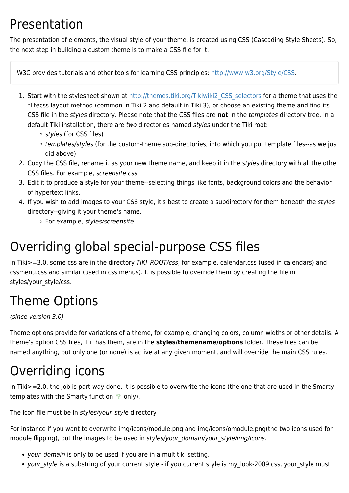#### Presentation

The presentation of elements, the visual style of your theme, is created using CSS (Cascading Style Sheets). So, the next step in building a custom theme is to make a CSS file for it.

W3C provides tutorials and other tools for learning CSS principles:<http://www.w3.org/Style/CSS>.

- 1. Start with the stylesheet shown at [http://themes.tiki.org/Tikiwiki2\\_CSS\\_selectors](http://themes.tiki.org/Tikiwiki2_CSS_selectors) for a theme that uses the \*litecss layout method (common in Tiki 2 and default in Tiki 3), or choose an existing theme and find its CSS file in the styles directory. Please note that the CSS files are **not** in the templates directory tree. In a default Tiki installation, there are two directories named styles under the Tiki root:
	- styles (for CSS files)
	- o templates/styles (for the custom-theme sub-directories, into which you put template files--as we just did above)
- 2. Copy the CSS file, rename it as your new theme name, and keep it in the styles directory with all the other CSS files. For example, screensite.css.
- 3. Edit it to produce a style for your theme--selecting things like fonts, background colors and the behavior of hypertext links.
- 4. If you wish to add images to your CSS style, it's best to create a subdirectory for them beneath the styles directory--giving it your theme's name.
	- For example, styles/screensite

## Overriding global special-purpose CSS files

In Tiki>=3.0, some css are in the directory TIKI\_ROOT/css, for example, calendar.css (used in calendars) and cssmenu.css and similar (used in css menus). It is possible to override them by creating the file in styles/your\_style/css.

## Theme Options

(since version 3.0)

Theme options provide for variations of a theme, for example, changing colors, column widths or other details. A theme's option CSS files, if it has them, are in the **styles/themename/options** folder. These files can be named anything, but only one (or none) is active at any given moment, and will override the main CSS rules.

## Overriding icons

In Tiki>=2.0, the job is part-way done. It is possible to overwrite the icons (the one that are used in the Smarty templates with the Smarty function  $\bullet$  only).

The icon file must be in styles/your style directory

For instance if you want to overwrite img/icons/module.png and img/icons/omodule.png(the two icons used for module flipping), put the images to be used in styles/your domain/your style/img/icons.

- your domain is only to be used if you are in a multitiki setting.
- your style is a substring of your current style if you current style is my look-2009.css, your style must